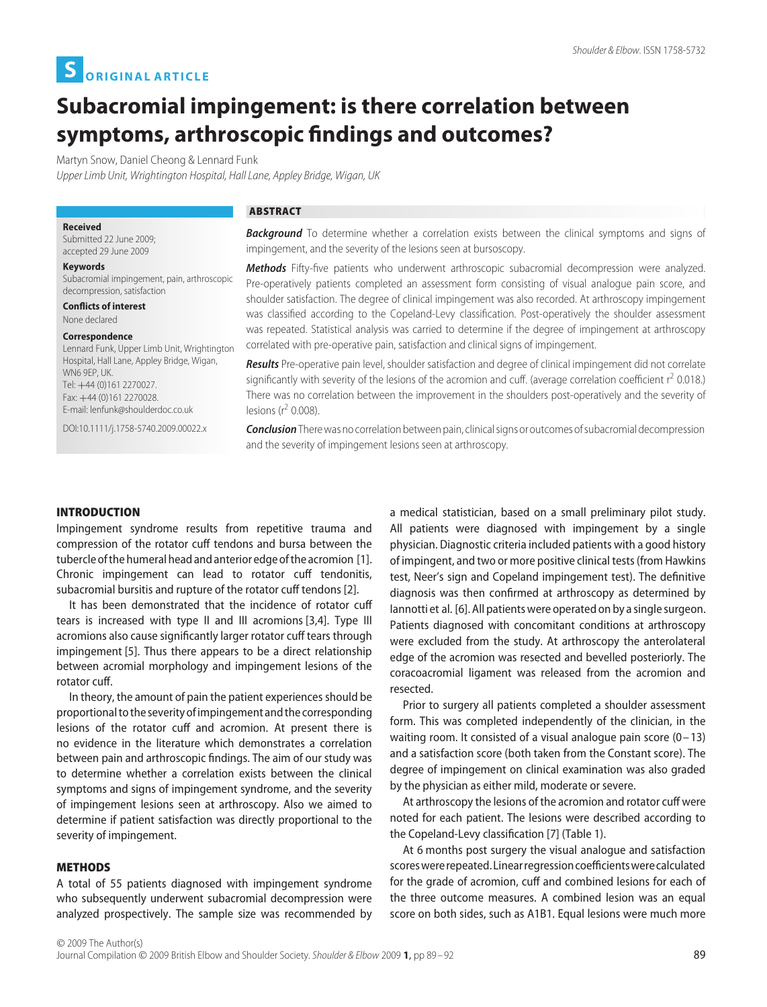# **S ORIGINAL ARTICLE**

# **Subacromial impingement: is there correlation between symptoms, arthroscopic findings and outcomes?**

Martyn Snow, Daniel Cheong & Lennard Funk Upper Limb Unit, Wrightington Hospital, Hall Lane, Appley Bridge, Wigan, UK

#### **Received**

Submitted 22 June 2009; accepted 29 June 2009

**Keywords** Subacromial impingement, pain, arthroscopic decompression, satisfaction

**Conflicts of interest** None declared

#### **Correspondence**

Lennard Funk, Upper Limb Unit, Wrightington Hospital, Hall Lane, Appley Bridge, Wigan, WN6 9EP, UK. Tel: +44 (0)161 2270027.  $Fay: +44(0)1612270028$ E-mail: lenfunk@shoulderdoc.co.uk

DOI:10.1111/j.1758-5740.2009.00022.x

# ABSTRACT

**Background** To determine whether a correlation exists between the clinical symptoms and signs of impingement, and the severity of the lesions seen at bursoscopy.

*Methods* Fifty-five patients who underwent arthroscopic subacromial decompression were analyzed. Pre-operatively patients completed an assessment form consisting of visual analogue pain score, and shoulder satisfaction. The degree of clinical impingement was also recorded. At arthroscopy impingement was classified according to the Copeland-Levy classification. Post-operatively the shoulder assessment was repeated. Statistical analysis was carried to determine if the degree of impingement at arthroscopy correlated with pre-operative pain, satisfaction and clinical signs of impingement.

*Results* Pre-operative pain level, shoulder satisfaction and degree of clinical impingement did not correlate significantly with severity of the lesions of the acromion and cuff. (average correlation coefficient  $r^2$  0.018.) There was no correlation between the improvement in the shoulders post-operatively and the severity of lesions ( $r^2$  0.008).

**Conclusion** There was no correlation between pain, clinical signs or outcomes of subacromial decompression and the severity of impingement lesions seen at arthroscopy.

# INTRODUCTION

Impingement syndrome results from repetitive trauma and compression of the rotator cuff tendons and bursa between the tubercleof the humeral head and anterior edgeof the acromion [1]. Chronic impingement can lead to rotator cuff tendonitis, subacromial bursitis and rupture of the rotator cuff tendons [2].

It has been demonstrated that the incidence of rotator cuff tears is increased with type II and III acromions [3,4]. Type III acromions also cause significantly larger rotator cuff tears through impingement [5]. Thus there appears to be a direct relationship between acromial morphology and impingement lesions of the rotator cuff.

In theory, the amount of pain the patient experiences should be proportional to the severityof impingement and the corresponding lesions of the rotator cuff and acromion. At present there is no evidence in the literature which demonstrates a correlation between pain and arthroscopic findings. The aim of our study was to determine whether a correlation exists between the clinical symptoms and signs of impingement syndrome, and the severity of impingement lesions seen at arthroscopy. Also we aimed to determine if patient satisfaction was directly proportional to the severity of impingement.

# METHODS

A total of 55 patients diagnosed with impingement syndrome who subsequently underwent subacromial decompression were analyzed prospectively. The sample size was recommended by a medical statistician, based on a small preliminary pilot study. All patients were diagnosed with impingement by a single physician. Diagnostic criteria included patients with a good history of impingent, and two or more positive clinical tests (from Hawkins test, Neer's sign and Copeland impingement test). The definitive diagnosis was then confirmed at arthroscopy as determined by lannotti et al. [6]. All patients were operated on by a single surgeon. Patients diagnosed with concomitant conditions at arthroscopy were excluded from the study. At arthroscopy the anterolateral edge of the acromion was resected and bevelled posteriorly. The coracoacromial ligament was released from the acromion and resected.

Prior to surgery all patients completed a shoulder assessment form. This was completed independently of the clinician, in the waiting room. It consisted of a visual analogue pain score  $(0-13)$ and a satisfaction score (both taken from the Constant score). The degree of impingement on clinical examination was also graded by the physician as either mild, moderate or severe.

At arthroscopy the lesions of the acromion and rotator cuff were noted for each patient. The lesions were described according to the Copeland-Levy classification [7] (Table 1).

At 6 months post surgery the visual analogue and satisfaction scores were repeated. Linear regression coefficients were calculated for the grade of acromion, cuff and combined lesions for each of the three outcome measures. A combined lesion was an equal score on both sides, such as A1B1. Equal lesions were much more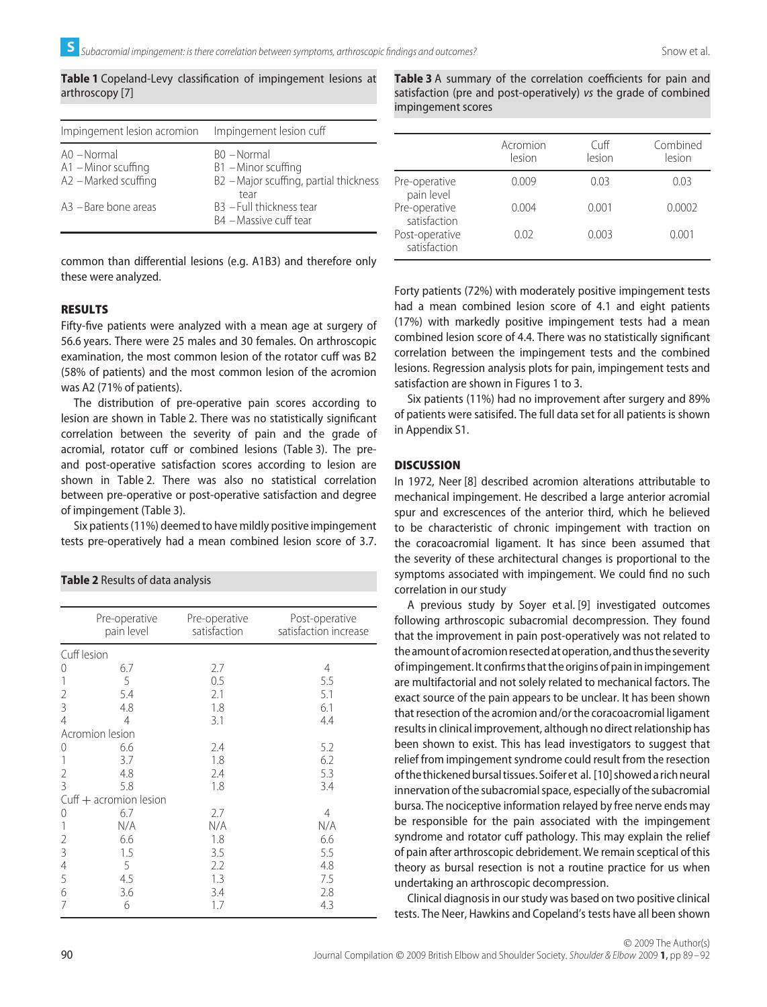**Table 1** Copeland-Levy classification of impingement lesions at arthroscopy [7]

| Impingement lesion acromion                                | Impingement lesion cuff                                                                |
|------------------------------------------------------------|----------------------------------------------------------------------------------------|
| A0 - Normal<br>A1 - Minor scuffing<br>A2 - Marked scuffing | $RO$ – Normal<br>B1 - Minor scuffing<br>B2 - Major scuffing, partial thickness<br>tear |
| A3 - Bare bone areas                                       | B <sub>3</sub> - Full thickness tear<br>B4 - Massive cuff tear                         |

common than differential lesions (e.g. A1B3) and therefore only these were analyzed.

# RESULTS

Fifty-five patients were analyzed with a mean age at surgery of 56.6 years. There were 25 males and 30 females. On arthroscopic examination, the most common lesion of the rotator cuff was B2 (58% of patients) and the most common lesion of the acromion was A2 (71% of patients).

The distribution of pre-operative pain scores according to lesion are shown in Table 2. There was no statistically significant correlation between the severity of pain and the grade of acromial, rotator cuff or combined lesions (Table 3). The preand post-operative satisfaction scores according to lesion are shown in Table 2. There was also no statistical correlation between pre-operative or post-operative satisfaction and degree of impingement (Table 3).

Six patients (11%) deemed to have mildly positive impingement tests pre-operatively had a mean combined lesion score of 3.7.

# **Table 2** Results of data analysis

|                | Pre-operative<br>pain level | Pre-operative<br>satisfaction | Post-operative<br>satisfaction increase |
|----------------|-----------------------------|-------------------------------|-----------------------------------------|
| Cuff lesion    |                             |                               |                                         |
| 0              | 6.7                         | 2.7                           | 4                                       |
| 1              | 5                           | 0.5                           | 5.5                                     |
| 2              | 5.4                         | 2.1                           | 5.1                                     |
| 3              | 4.8                         | 1.8                           | 6.1                                     |
| 4              | 4                           | 3.1                           | 4.4                                     |
|                | Acromion lesion             |                               |                                         |
| 0              | 6.6                         | 2.4                           | 5.2                                     |
| 1              | 3.7                         | 1.8                           | 6.2                                     |
| $\overline{2}$ | 4.8                         | 2.4                           | 5.3                                     |
| 3              | 5.8                         | 1.8                           | 3.4                                     |
|                | Cuff + acromion lesion      |                               |                                         |
| 0              | 6.7                         | 2.7                           | 4                                       |
| $\mathbf{1}$   | N/A                         | N/A                           | N/A                                     |
| $\overline{2}$ | 6.6                         | 1.8                           | 6.6                                     |
| 3              | 1.5                         | 3.5                           | 5.5                                     |
| 4              | 5                           | 2.2                           | 4.8                                     |
| 5              | 4.5                         | 1.3                           | 7.5                                     |
| 6              | 3.6                         | 3.4                           | 2.8                                     |
| 7              | 6                           | 1.7                           | 4.3                                     |

**Table 3** A summary of the correlation coefficients for pain and satisfaction (pre and post-operatively) vs the grade of combined impingement scores

|                                | Acromion<br>lesion | Cuff<br>lesion | Combined<br>lesion |
|--------------------------------|--------------------|----------------|--------------------|
| Pre-operative<br>pain level    | 0.009              | 0.03           | 0.03               |
| Pre-operative<br>satisfaction  | 0.004              | 0.001          | 0.0002             |
| Post-operative<br>satisfaction | 0.02               | 0.003          | 0.001              |

Forty patients (72%) with moderately positive impingement tests had a mean combined lesion score of 4.1 and eight patients (17%) with markedly positive impingement tests had a mean combined lesion score of 4.4. There was no statistically significant correlation between the impingement tests and the combined lesions. Regression analysis plots for pain, impingement tests and satisfaction are shown in Figures 1 to 3.

Six patients (11%) had no improvement after surgery and 89% of patients were satisifed. The full data set for all patients is shown in Appendix S1.

# **DISCUSSION**

In 1972, Neer [8] described acromion alterations attributable to mechanical impingement. He described a large anterior acromial spur and excrescences of the anterior third, which he believed to be characteristic of chronic impingement with traction on the coracoacromial ligament. It has since been assumed that the severity of these architectural changes is proportional to the symptoms associated with impingement. We could find no such correlation in our study

A previous study by Soyer et al. [9] investigated outcomes following arthroscopic subacromial decompression. They found that the improvement in pain post-operatively was not related to theamountofacromion resectedatoperation,and thus the severity of impingement. It confirms that theoriginsof pain in impingement are multifactorial and not solely related to mechanical factors. The exact source of the pain appears to be unclear. It has been shown that resection of the acromion and/or the coracoacromial ligament results in clinical improvement, although no direct relationship has been shown to exist. This has lead investigators to suggest that relief from impingement syndrome could result from the resection of the thickened bursal tissues.Soiferet al. [10] showeda rich neural innervation of the subacromial space, especially of the subacromial bursa. The nociceptive information relayed by free nerve ends may be responsible for the pain associated with the impingement syndrome and rotator cuff pathology. This may explain the relief of pain after arthroscopic debridement. We remain sceptical of this theory as bursal resection is not a routine practice for us when undertaking an arthroscopic decompression.

Clinical diagnosis in our study was based on two positive clinical tests. The Neer, Hawkins and Copeland's tests have all been shown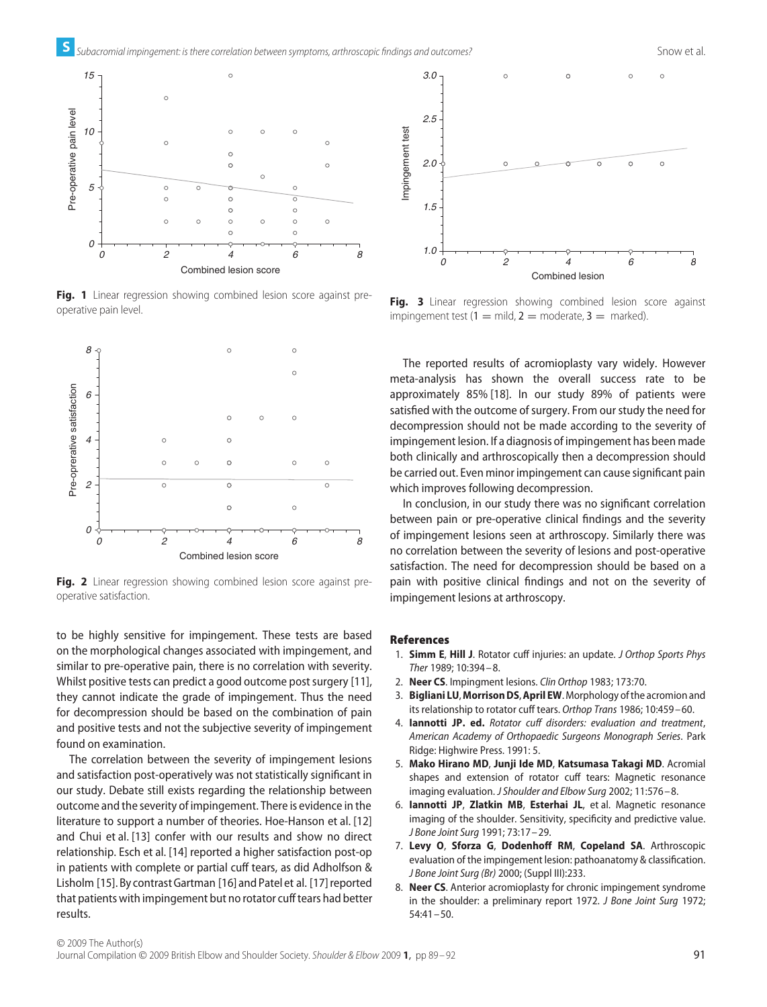

**Fig. 1** Linear regression showing combined lesion score against preoperative pain level.



Fig. 2 Linear regression showing combined lesion score against preoperative satisfaction.

to be highly sensitive for impingement. These tests are based on the morphological changes associated with impingement, and similar to pre-operative pain, there is no correlation with severity. Whilst positive tests can predict a good outcome post surgery [11], they cannot indicate the grade of impingement. Thus the need for decompression should be based on the combination of pain and positive tests and not the subjective severity of impingement found on examination.

The correlation between the severity of impingement lesions and satisfaction post-operatively was not statistically significant in our study. Debate still exists regarding the relationship between outcome and the severity of impingement. There is evidence in the literature to support a number of theories. Hoe-Hanson et al. [12] and Chui et al. [13] confer with our results and show no direct relationship. Esch et al. [14] reported a higher satisfaction post-op in patients with complete or partial cuff tears, as did Adholfson & Lisholm [15]. By contrast Gartman [16] and Patel et al. [17] reported that patients with impingement but no rotator cuff tears had better results.



**Fig. 3** Linear regression showing combined lesion score against impingement test (1 = mild, 2 = moderate, 3 = marked).

The reported results of acromioplasty vary widely. However meta-analysis has shown the overall success rate to be approximately 85% [18]. In our study 89% of patients were satisfied with the outcome of surgery. From our study the need for decompression should not be made according to the severity of impingement lesion. If a diagnosis of impingement has been made both clinically and arthroscopically then a decompression should be carried out. Even minor impingement can cause significant pain which improves following decompression.

In conclusion, in our study there was no significant correlation between pain or pre-operative clinical findings and the severity of impingement lesions seen at arthroscopy. Similarly there was no correlation between the severity of lesions and post-operative satisfaction. The need for decompression should be based on a pain with positive clinical findings and not on the severity of impingement lesions at arthroscopy.

# References

- 1. **Simm E**, **Hill J**. Rotator cuff injuries: an update. J Orthop Sports Phys Ther 1989; 10:394–8.
- 2. **Neer CS**. Impingment lesions. Clin Orthop 1983; 173:70.
- 3. **Bigliani LU**,**Morrison DS**,**April EW**. Morphology of the acromion and its relationship to rotator cuff tears. Orthop Trans 1986; 10:459–60.
- 4. **Iannotti JP. ed.** Rotator cuff disorders: evaluation and treatment, American Academy of Orthopaedic Surgeons Monograph Series. Park Ridge: Highwire Press. 1991: 5.
- 5. **Mako Hirano MD**, **Junji Ide MD**, **Katsumasa Takagi MD**. Acromial shapes and extension of rotator cuff tears: Magnetic resonance imaging evaluation. J Shoulder and Elbow Surg 2002; 11:576–8.
- 6. **Iannotti JP**, **Zlatkin MB**, **Esterhai JL**, et al. Magnetic resonance imaging of the shoulder. Sensitivity, specificity and predictive value. J Bone Joint Surg 1991; 73:17–29.
- 7. **Levy O**, **Sforza G**, **Dodenhoff RM**, **Copeland SA**. Arthroscopic evaluation of the impingement lesion: pathoanatomy & classification. J Bone Joint Surg (Br) 2000; (Suppl III):233.
- 8. **Neer CS**. Anterior acromioplasty for chronic impingement syndrome in the shoulder: a preliminary report 1972. J Bone Joint Surg 1972; 54:41–50.